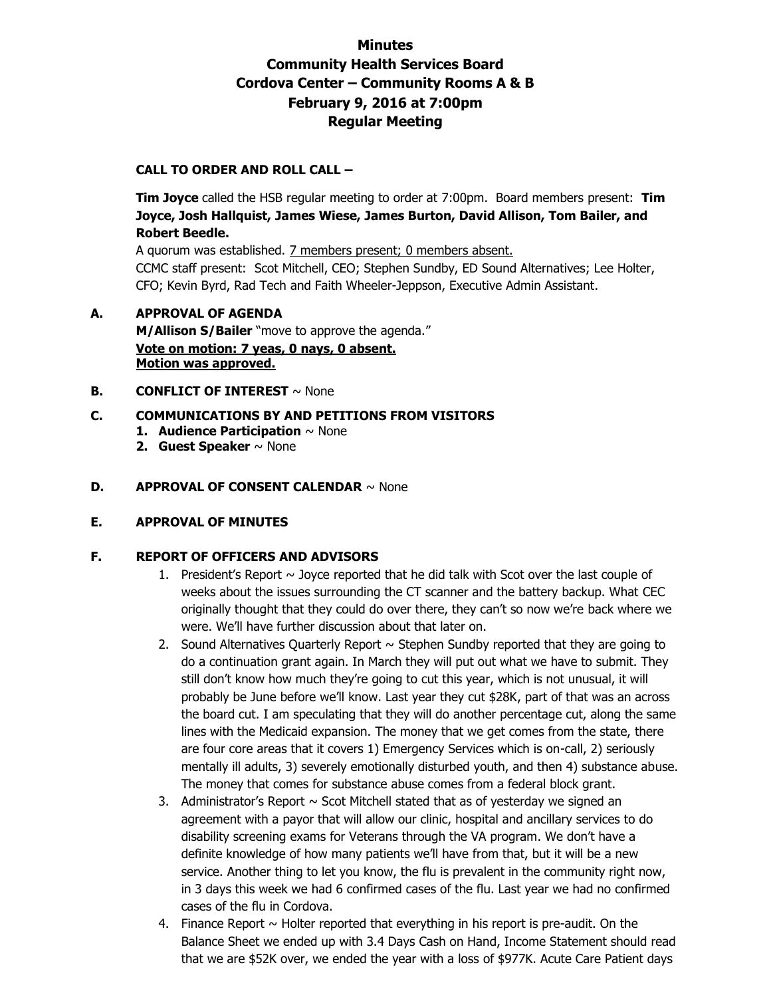# **Minutes Community Health Services Board Cordova Center – Community Rooms A & B February 9, 2016 at 7:00pm Regular Meeting**

# **CALL TO ORDER AND ROLL CALL –**

 **Tim Joyce** called the HSB regular meeting to order at 7:00pm. Board members present: **Tim Joyce, Josh Hallquist, James Wiese, James Burton, David Allison, Tom Bailer, and Robert Beedle.** 

A quorum was established. 7 members present; 0 members absent.

CCMC staff present: Scot Mitchell, CEO; Stephen Sundby, ED Sound Alternatives; Lee Holter, CFO; Kevin Byrd, Rad Tech and Faith Wheeler-Jeppson, Executive Admin Assistant.

# **A. APPROVAL OF AGENDA M/Allison S/Bailer** "move to approve the agenda." **Vote on motion: 7 yeas, 0 nays, 0 absent. Motion was approved.**

- **B. CONFLICT OF INTEREST**  $\sim$  None
- **C. COMMUNICATIONS BY AND PETITIONS FROM VISITORS** 
	- **1. Audience Participation** ~ None
	- **2. Guest Speaker** ~ None
- **D. APPROVAL OF CONSENT CALENDAR** ~ None

#### **E. APPROVAL OF MINUTES**

## **F. REPORT OF OFFICERS AND ADVISORS**

- 1. President's Report  $\sim$  Joyce reported that he did talk with Scot over the last couple of weeks about the issues surrounding the CT scanner and the battery backup. What CEC originally thought that they could do over there, they can't so now we're back where we were. We'll have further discussion about that later on.
- 2. Sound Alternatives Quarterly Report  $\sim$  Stephen Sundby reported that they are going to do a continuation grant again. In March they will put out what we have to submit. They still don't know how much they're going to cut this year, which is not unusual, it will probably be June before we'll know. Last year they cut \$28K, part of that was an across the board cut. I am speculating that they will do another percentage cut, along the same lines with the Medicaid expansion. The money that we get comes from the state, there are four core areas that it covers 1) Emergency Services which is on-call, 2) seriously mentally ill adults, 3) severely emotionally disturbed youth, and then 4) substance abuse. The money that comes for substance abuse comes from a federal block grant.
- 3. Administrator's Report  $\sim$  Scot Mitchell stated that as of yesterday we signed an agreement with a payor that will allow our clinic, hospital and ancillary services to do disability screening exams for Veterans through the VA program. We don't have a definite knowledge of how many patients we'll have from that, but it will be a new service. Another thing to let you know, the flu is prevalent in the community right now, in 3 days this week we had 6 confirmed cases of the flu. Last year we had no confirmed cases of the flu in Cordova.
- 4. Finance Report  $\sim$  Holter reported that everything in his report is pre-audit. On the Balance Sheet we ended up with 3.4 Days Cash on Hand, Income Statement should read that we are \$52K over, we ended the year with a loss of \$977K. Acute Care Patient days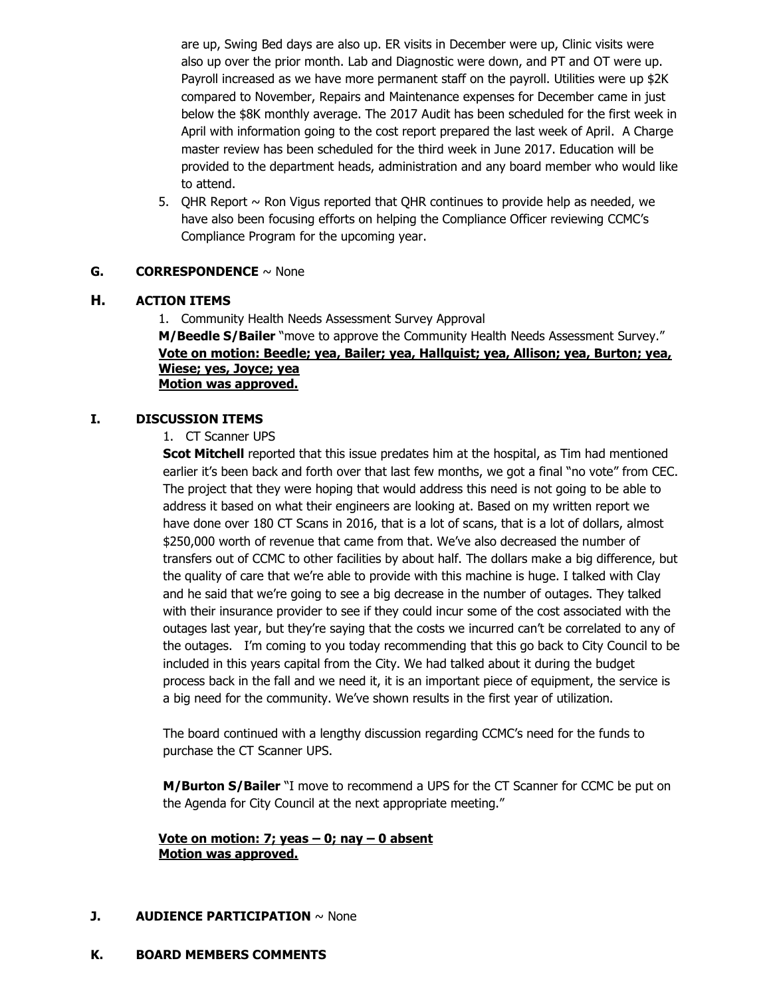are up, Swing Bed days are also up. ER visits in December were up, Clinic visits were also up over the prior month. Lab and Diagnostic were down, and PT and OT were up. Payroll increased as we have more permanent staff on the payroll. Utilities were up \$2K compared to November, Repairs and Maintenance expenses for December came in just below the \$8K monthly average. The 2017 Audit has been scheduled for the first week in April with information going to the cost report prepared the last week of April. A Charge master review has been scheduled for the third week in June 2017. Education will be provided to the department heads, administration and any board member who would like to attend.

5. QHR Report  $\sim$  Ron Vigus reported that QHR continues to provide help as needed, we have also been focusing efforts on helping the Compliance Officer reviewing CCMC's Compliance Program for the upcoming year.

#### **G. CORRESPONDENCE** ~ None

#### **H. ACTION ITEMS**

1. Community Health Needs Assessment Survey Approval **M/Beedle S/Bailer** "move to approve the Community Health Needs Assessment Survey." **Vote on motion: Beedle; yea, Bailer; yea, Hallquist; yea, Allison; yea, Burton; yea, Wiese; yes, Joyce; yea Motion was approved.**

#### **I. DISCUSSION ITEMS**

#### 1. CT Scanner UPS

**Scot Mitchell** reported that this issue predates him at the hospital, as Tim had mentioned earlier it's been back and forth over that last few months, we got a final "no vote" from CEC. The project that they were hoping that would address this need is not going to be able to address it based on what their engineers are looking at. Based on my written report we have done over 180 CT Scans in 2016, that is a lot of scans, that is a lot of dollars, almost \$250,000 worth of revenue that came from that. We've also decreased the number of transfers out of CCMC to other facilities by about half. The dollars make a big difference, but the quality of care that we're able to provide with this machine is huge. I talked with Clay and he said that we're going to see a big decrease in the number of outages. They talked with their insurance provider to see if they could incur some of the cost associated with the outages last year, but they're saying that the costs we incurred can't be correlated to any of the outages. I'm coming to you today recommending that this go back to City Council to be included in this years capital from the City. We had talked about it during the budget process back in the fall and we need it, it is an important piece of equipment, the service is a big need for the community. We've shown results in the first year of utilization.

The board continued with a lengthy discussion regarding CCMC's need for the funds to purchase the CT Scanner UPS.

**M/Burton S/Bailer** "I move to recommend a UPS for the CT Scanner for CCMC be put on the Agenda for City Council at the next appropriate meeting."

#### **Vote on motion: 7; yeas – 0; nay – 0 absent Motion was approved.**

#### **J. AUDIENCE PARTICIPATION** ~ None

#### **K. BOARD MEMBERS COMMENTS**